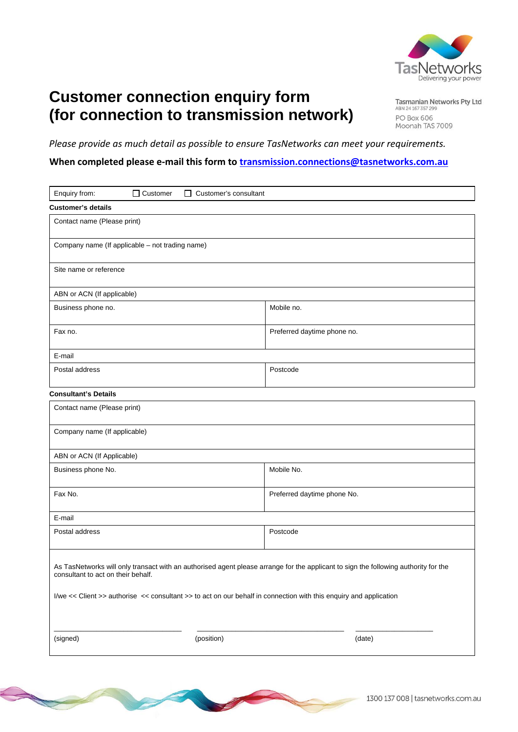

## **Customer connection enquiry form (for connection to transmission network)**

Tasmanian Networks Pty Ltd ABN 24 167 357 299 **PO Box 606** Moonah TAS 7009

*Please provide as much detail as possible to ensure TasNetworks can meet your requirements.*

## **When completed please e‐mail this form to transmission.connections@tasnetworks.com.au**

| Enquiry from:<br>$\Box$ Customer<br>$\Box$ Customer's consultant                                                                                                                                                                                                                               |            |                             |        |  |  |  |
|------------------------------------------------------------------------------------------------------------------------------------------------------------------------------------------------------------------------------------------------------------------------------------------------|------------|-----------------------------|--------|--|--|--|
| <b>Customer's details</b>                                                                                                                                                                                                                                                                      |            |                             |        |  |  |  |
| Contact name (Please print)                                                                                                                                                                                                                                                                    |            |                             |        |  |  |  |
| Company name (If applicable - not trading name)                                                                                                                                                                                                                                                |            |                             |        |  |  |  |
| Site name or reference                                                                                                                                                                                                                                                                         |            |                             |        |  |  |  |
| ABN or ACN (If applicable)                                                                                                                                                                                                                                                                     |            |                             |        |  |  |  |
| Business phone no.                                                                                                                                                                                                                                                                             |            | Mobile no.                  |        |  |  |  |
| Fax no.                                                                                                                                                                                                                                                                                        |            | Preferred daytime phone no. |        |  |  |  |
| E-mail                                                                                                                                                                                                                                                                                         |            |                             |        |  |  |  |
| Postal address                                                                                                                                                                                                                                                                                 |            | Postcode                    |        |  |  |  |
| <b>Consultant's Details</b>                                                                                                                                                                                                                                                                    |            |                             |        |  |  |  |
| Contact name (Please print)                                                                                                                                                                                                                                                                    |            |                             |        |  |  |  |
| Company name (If applicable)                                                                                                                                                                                                                                                                   |            |                             |        |  |  |  |
| ABN or ACN (If Applicable)                                                                                                                                                                                                                                                                     |            |                             |        |  |  |  |
| Business phone No.                                                                                                                                                                                                                                                                             |            | Mobile No.                  |        |  |  |  |
| Fax No.                                                                                                                                                                                                                                                                                        |            | Preferred daytime phone No. |        |  |  |  |
| E-mail                                                                                                                                                                                                                                                                                         |            |                             |        |  |  |  |
| Postal address                                                                                                                                                                                                                                                                                 |            | Postcode                    |        |  |  |  |
| As TasNetworks will only transact with an authorised agent please arrange for the applicant to sign the following authority for the<br>consultant to act on their behalf.<br>I/we << Client >> authorise << consultant >> to act on our behalf in connection with this enquiry and application |            |                             |        |  |  |  |
| (signed)                                                                                                                                                                                                                                                                                       | (position) |                             | (date) |  |  |  |

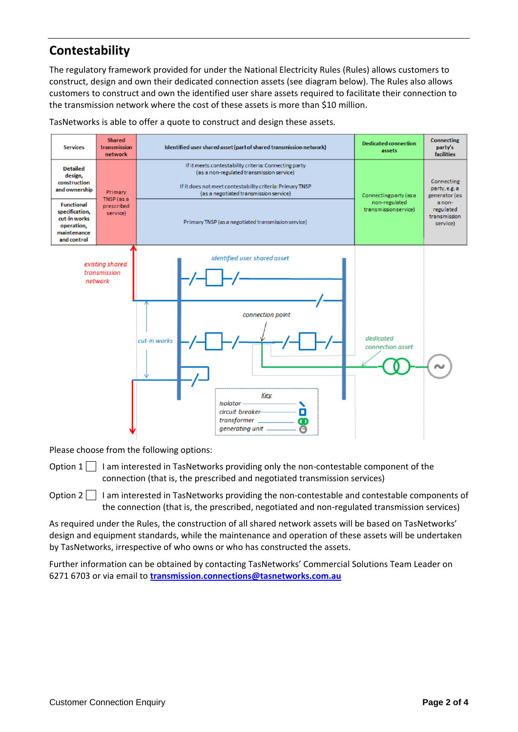## **Contestability**

The regulatory framework provided for under the National Electricity Rules (Rules) allows customers to construct, design and own their dedicated connection assets (see diagram below). The Rules also allows customers to construct and own the identified user share assets required to facilitate their connection to the transmission network where the cost of these assets is more than \$10 million.

TasNetworks is able to offer a quote to construct and design these assets.



Please choose from the following options:

Option  $1 \mid \cdot$  I am interested in TasNetworks providing only the non-contestable component of the connection (that is, the prescribed and negotiated transmission services)

Option 2 I am interested in TasNetworks providing the non-contestable and contestable components of the connection (that is, the prescribed, negotiated and non-regulated transmission services)

As required under the Rules, the construction of all shared network assets will be based on TasNetworks' design and equipment standards, while the maintenance and operation of these assets will be undertaken by TasNetworks, irrespective of who owns or who has constructed the assets.

Further information can be obtained by contacting TasNetworks' Commercial Solutions Team Leader on 6271 6703 or via email to **transmission.connections@tasnetworks.com.au**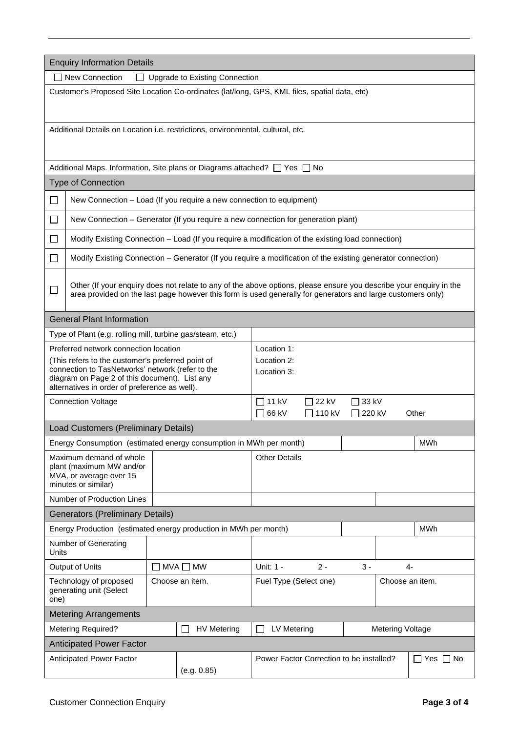| <b>Enquiry Information Details</b>                                                                                        |                                                                                                                    |                                             |                                                                  |                                           |       |       |  |            |
|---------------------------------------------------------------------------------------------------------------------------|--------------------------------------------------------------------------------------------------------------------|---------------------------------------------|------------------------------------------------------------------|-------------------------------------------|-------|-------|--|------------|
|                                                                                                                           | □ New Connection<br>$\mathsf{L}$                                                                                   |                                             | Upgrade to Existing Connection                                   |                                           |       |       |  |            |
|                                                                                                                           | Customer's Proposed Site Location Co-ordinates (lat/long, GPS, KML files, spatial data, etc)                       |                                             |                                                                  |                                           |       |       |  |            |
|                                                                                                                           |                                                                                                                    |                                             |                                                                  |                                           |       |       |  |            |
|                                                                                                                           |                                                                                                                    |                                             |                                                                  |                                           |       |       |  |            |
|                                                                                                                           | Additional Details on Location i.e. restrictions, environmental, cultural, etc.                                    |                                             |                                                                  |                                           |       |       |  |            |
|                                                                                                                           |                                                                                                                    |                                             |                                                                  |                                           |       |       |  |            |
|                                                                                                                           | Additional Maps. Information, Site plans or Diagrams attached? □ Yes □ No                                          |                                             |                                                                  |                                           |       |       |  |            |
|                                                                                                                           | <b>Type of Connection</b>                                                                                          |                                             |                                                                  |                                           |       |       |  |            |
| $\Box$                                                                                                                    | New Connection - Load (If you require a new connection to equipment)                                               |                                             |                                                                  |                                           |       |       |  |            |
| П                                                                                                                         | New Connection - Generator (If you require a new connection for generation plant)                                  |                                             |                                                                  |                                           |       |       |  |            |
| $\mathbf{I}$                                                                                                              | Modify Existing Connection - Load (If you require a modification of the existing load connection)                  |                                             |                                                                  |                                           |       |       |  |            |
| $\Box$                                                                                                                    | Modify Existing Connection - Generator (If you require a modification of the existing generator connection)        |                                             |                                                                  |                                           |       |       |  |            |
|                                                                                                                           |                                                                                                                    |                                             |                                                                  |                                           |       |       |  |            |
| $\Box$                                                                                                                    | Other (If your enquiry does not relate to any of the above options, please ensure you describe your enquiry in the |                                             |                                                                  |                                           |       |       |  |            |
|                                                                                                                           | area provided on the last page however this form is used generally for generators and large customers only)        |                                             |                                                                  |                                           |       |       |  |            |
|                                                                                                                           | <b>General Plant Information</b>                                                                                   |                                             |                                                                  |                                           |       |       |  |            |
|                                                                                                                           | Type of Plant (e.g. rolling mill, turbine gas/steam, etc.)                                                         |                                             |                                                                  |                                           |       |       |  |            |
|                                                                                                                           | Preferred network connection location                                                                              |                                             |                                                                  | Location 1:                               |       |       |  |            |
|                                                                                                                           | (This refers to the customer's preferred point of                                                                  |                                             |                                                                  | Location 2:                               |       |       |  |            |
| connection to TasNetworks' network (refer to the<br>diagram on Page 2 of this document). List any                         |                                                                                                                    |                                             | Location 3:                                                      |                                           |       |       |  |            |
|                                                                                                                           | alternatives in order of preference as well).                                                                      |                                             |                                                                  |                                           |       |       |  |            |
| $\Box$ 11 kV<br>22 kV<br>33 kV<br><b>Connection Voltage</b>                                                               |                                                                                                                    |                                             |                                                                  |                                           |       |       |  |            |
|                                                                                                                           | 66 kV<br>П<br>110 kV<br>220 kV<br>Other                                                                            |                                             |                                                                  |                                           |       |       |  |            |
|                                                                                                                           | Load Customers (Preliminary Details)                                                                               |                                             |                                                                  |                                           |       |       |  |            |
|                                                                                                                           | Energy Consumption (estimated energy consumption in MWh per month)                                                 |                                             |                                                                  |                                           |       |       |  | <b>MWh</b> |
|                                                                                                                           | Maximum demand of whole<br>plant (maximum MW and/or                                                                |                                             |                                                                  | <b>Other Details</b>                      |       |       |  |            |
|                                                                                                                           | MVA, or average over 15                                                                                            |                                             |                                                                  |                                           |       |       |  |            |
|                                                                                                                           | minutes or similar)                                                                                                |                                             |                                                                  |                                           |       |       |  |            |
|                                                                                                                           | Number of Production Lines                                                                                         |                                             |                                                                  |                                           |       |       |  |            |
| <b>Generators (Preliminary Details)</b><br>Energy Production (estimated energy production in MWh per month)<br><b>MWh</b> |                                                                                                                    |                                             |                                                                  |                                           |       |       |  |            |
|                                                                                                                           | Number of Generating                                                                                               |                                             |                                                                  |                                           |       |       |  |            |
| <b>Units</b>                                                                                                              |                                                                                                                    |                                             |                                                                  |                                           |       |       |  |            |
|                                                                                                                           | Output of Units                                                                                                    | $MVA$ $\Box$ MW<br>$\overline{\phantom{a}}$ |                                                                  | Unit: 1 -                                 | $2 -$ | $3 -$ |  | $4-$       |
| one)                                                                                                                      | Technology of proposed<br>generating unit (Select                                                                  |                                             | Choose an item.                                                  | Fuel Type (Select one)<br>Choose an item. |       |       |  |            |
| <b>Metering Arrangements</b>                                                                                              |                                                                                                                    |                                             |                                                                  |                                           |       |       |  |            |
| <b>Metering Required?</b><br><b>HV Metering</b><br>LV Metering<br><b>Metering Voltage</b>                                 |                                                                                                                    |                                             |                                                                  |                                           |       |       |  |            |
| <b>Anticipated Power Factor</b>                                                                                           |                                                                                                                    |                                             |                                                                  |                                           |       |       |  |            |
|                                                                                                                           | Anticipated Power Factor<br>(e.g. 0.85)                                                                            |                                             | Power Factor Correction to be installed?<br>$\Box$ Yes $\Box$ No |                                           |       |       |  |            |